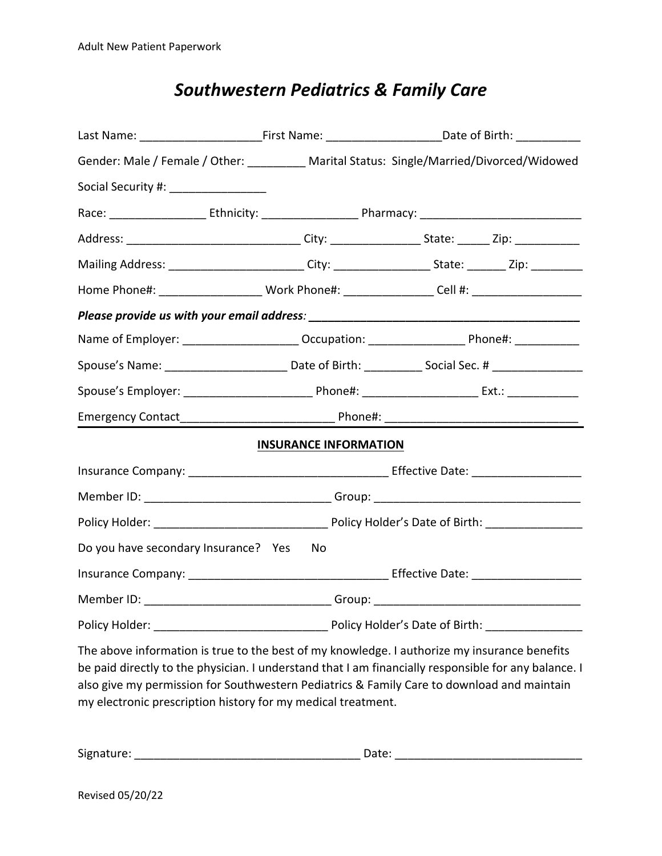|                                       | Last Name: ______________________________First Name: __________________________Date of Birth: ____________     |  |
|---------------------------------------|----------------------------------------------------------------------------------------------------------------|--|
|                                       | Gender: Male / Female / Other: _________ Marital Status: Single/Married/Divorced/Widowed                       |  |
| Social Security #: __________________ |                                                                                                                |  |
|                                       |                                                                                                                |  |
|                                       | Address: _______________________________City: ___________________________________Zip: ______________           |  |
|                                       | Mailing Address: _________________________City: _____________________State: ________Zip: __________            |  |
|                                       | Home Phone#: ___________________________Work Phone#: __________________Cell #: _____________________           |  |
|                                       |                                                                                                                |  |
|                                       | Name of Employer: _______________________ Occupation: __________________________ Phone#: ___________           |  |
|                                       | Spouse's Name: __________________________________Date of Birth: ______________Social Sec. # __________________ |  |
|                                       |                                                                                                                |  |
|                                       |                                                                                                                |  |
|                                       | <b>INSURANCE INFORMATION</b>                                                                                   |  |
|                                       |                                                                                                                |  |
|                                       |                                                                                                                |  |
|                                       |                                                                                                                |  |
| Do you have secondary Insurance? Yes  | No.                                                                                                            |  |
|                                       |                                                                                                                |  |
|                                       | Member ID: __________________________________Group: _____________________________                              |  |
|                                       |                                                                                                                |  |
|                                       |                                                                                                                |  |

The above information is true to the best of my knowledge. I authorize my insurance benefits be paid directly to the physician. I understand that I am financially responsible for any balance. I also give my permission for Southwestern Pediatrics & Family Care to download and maintain my electronic prescription history for my medical treatment.

| Signature: | vale. |
|------------|-------|
|            |       |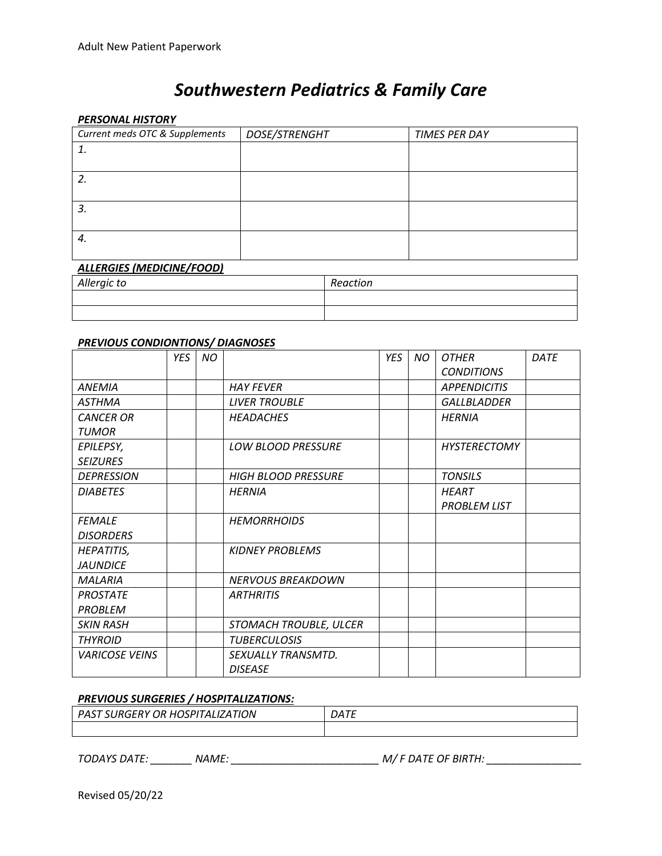#### *PERSONAL HISTORY*

| Current meds OTC & Supplements   | DOSE/STRENGHT | <b>TIMES PER DAY</b> |  |  |  |
|----------------------------------|---------------|----------------------|--|--|--|
|                                  |               |                      |  |  |  |
|                                  |               |                      |  |  |  |
| 2.                               |               |                      |  |  |  |
|                                  |               |                      |  |  |  |
| 3.                               |               |                      |  |  |  |
|                                  |               |                      |  |  |  |
| 4.                               |               |                      |  |  |  |
|                                  |               |                      |  |  |  |
| <b>ALLERGIES (MEDICINE/FOOD)</b> |               |                      |  |  |  |

| . ._____. _. . <i></i> |          |
|------------------------|----------|
| Allergic to            | Reaction |
|                        |          |
|                        |          |

#### *PREVIOUS CONDIONTIONS/ DIAGNOSES*

|                       | YES | <b>NO</b> |                            | YES | <b>NO</b> | <b>OTHER</b>        | DATE |
|-----------------------|-----|-----------|----------------------------|-----|-----------|---------------------|------|
|                       |     |           |                            |     |           | <b>CONDITIONS</b>   |      |
| <b>ANEMIA</b>         |     |           | <b>HAY FEVER</b>           |     |           | <b>APPENDICITIS</b> |      |
| <b>ASTHMA</b>         |     |           | <b>LIVER TROUBLE</b>       |     |           | GALLBLADDER         |      |
| <b>CANCER OR</b>      |     |           | <b>HEADACHES</b>           |     |           | <b>HERNIA</b>       |      |
| <b>TUMOR</b>          |     |           |                            |     |           |                     |      |
| EPILEPSY,             |     |           | <b>LOW BLOOD PRESSURE</b>  |     |           | <b>HYSTERECTOMY</b> |      |
| <b>SEIZURES</b>       |     |           |                            |     |           |                     |      |
| <b>DEPRESSION</b>     |     |           | <b>HIGH BLOOD PRESSURE</b> |     |           | <b>TONSILS</b>      |      |
| <b>DIABETES</b>       |     |           | <b>HERNIA</b>              |     |           | <b>HEART</b>        |      |
|                       |     |           |                            |     |           | <b>PROBLEM LIST</b> |      |
| <b>FEMALE</b>         |     |           | <b>HEMORRHOIDS</b>         |     |           |                     |      |
| <b>DISORDERS</b>      |     |           |                            |     |           |                     |      |
| <b>HEPATITIS,</b>     |     |           | <b>KIDNEY PROBLEMS</b>     |     |           |                     |      |
| <b>JAUNDICE</b>       |     |           |                            |     |           |                     |      |
| <b>MALARIA</b>        |     |           | <b>NERVOUS BREAKDOWN</b>   |     |           |                     |      |
| <b>PROSTATE</b>       |     |           | <b>ARTHRITIS</b>           |     |           |                     |      |
| PROBLEM               |     |           |                            |     |           |                     |      |
| <b>SKIN RASH</b>      |     |           | STOMACH TROUBLE, ULCER     |     |           |                     |      |
| <b>THYROID</b>        |     |           | <b>TUBERCULOSIS</b>        |     |           |                     |      |
| <b>VARICOSE VEINS</b> |     |           | SEXUALLY TRANSMTD.         |     |           |                     |      |
|                       |     |           | <b>DISEASE</b>             |     |           |                     |      |

#### *PREVIOUS SURGERIES / HOSPITALIZATIONS:*

| $^{\shortmid}$ PAST SURGERY OR HOSPITALIZATION $^{\shortmid}$ | DATE |
|---------------------------------------------------------------|------|
|                                                               |      |

*TODAYS DATE: \_\_\_\_\_\_\_ NAME: \_\_\_\_\_\_\_\_\_\_\_\_\_\_\_\_\_\_\_\_\_\_\_\_\_ M/ F DATE OF BIRTH:\_\_\_\_\_\_\_\_\_\_\_\_\_\_\_\_*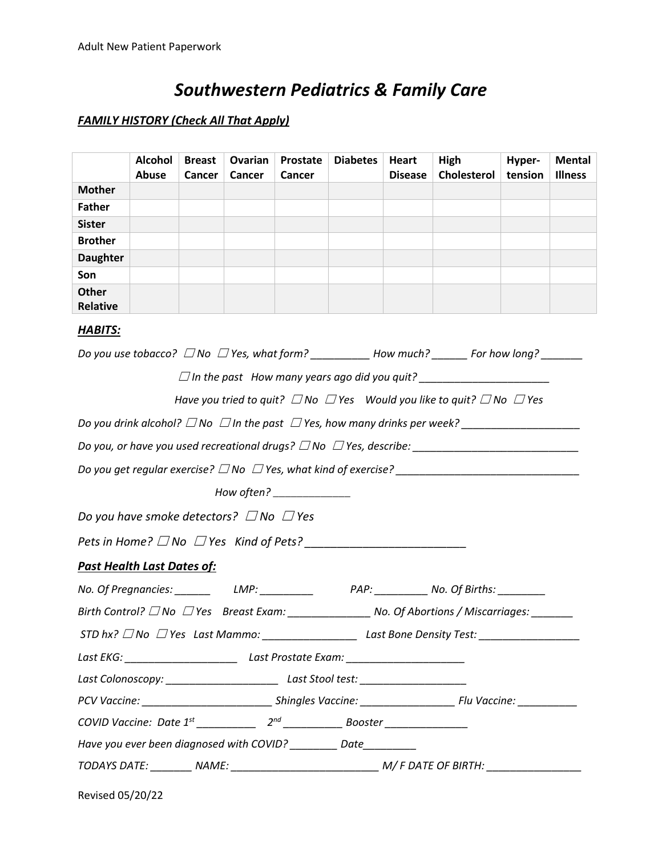### *FAMILY HISTORY (Check All That Apply)*

|                 | <b>Alcohol</b><br>Abuse | <b>Breast</b><br>Cancer | Ovarian<br>Cancer | Prostate<br>Cancer | <b>Diabetes</b> | Heart<br><b>Disease</b> | High<br>Cholesterol | Hyper-<br>tension | <b>Mental</b><br><b>Illness</b> |
|-----------------|-------------------------|-------------------------|-------------------|--------------------|-----------------|-------------------------|---------------------|-------------------|---------------------------------|
|                 |                         |                         |                   |                    |                 |                         |                     |                   |                                 |
| <b>Mother</b>   |                         |                         |                   |                    |                 |                         |                     |                   |                                 |
| <b>Father</b>   |                         |                         |                   |                    |                 |                         |                     |                   |                                 |
| <b>Sister</b>   |                         |                         |                   |                    |                 |                         |                     |                   |                                 |
| <b>Brother</b>  |                         |                         |                   |                    |                 |                         |                     |                   |                                 |
| <b>Daughter</b> |                         |                         |                   |                    |                 |                         |                     |                   |                                 |
| Son             |                         |                         |                   |                    |                 |                         |                     |                   |                                 |
| Other           |                         |                         |                   |                    |                 |                         |                     |                   |                                 |
| Relative        |                         |                         |                   |                    |                 |                         |                     |                   |                                 |

### *HABITS:*

| Do you use tobacco? $\Box$ No $\Box$ Yes, what form? ____________ How much? ________ For how long? ________      |  |
|------------------------------------------------------------------------------------------------------------------|--|
|                                                                                                                  |  |
| Have you tried to quit? $\Box$ No $\Box$ Yes Would you like to quit? $\Box$ No $\Box$ Yes                        |  |
| Do you drink alcohol? $\Box$ No $\Box$ In the past $\Box$ Yes, how many drinks per week? _______________________ |  |
|                                                                                                                  |  |
|                                                                                                                  |  |
| How often? _______________                                                                                       |  |
| Do you have smoke detectors? $\Box$ No $\Box$ Yes                                                                |  |
|                                                                                                                  |  |
| <b>Past Health Last Dates of:</b>                                                                                |  |
|                                                                                                                  |  |
|                                                                                                                  |  |
|                                                                                                                  |  |
| Last EKG: _______________________________Last Prostate Exam: ___________________                                 |  |
|                                                                                                                  |  |
|                                                                                                                  |  |
|                                                                                                                  |  |
| Have you ever been diagnosed with COVID? Date                                                                    |  |
|                                                                                                                  |  |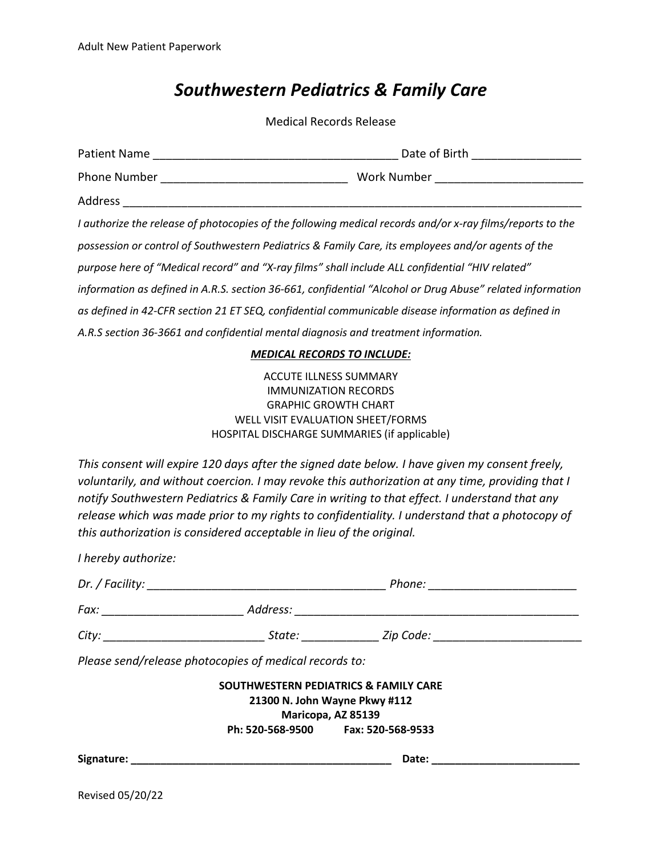Medical Records Release

| Patient Name                                                                                              | Date of Birth                 |
|-----------------------------------------------------------------------------------------------------------|-------------------------------|
| Phone Number                                                                                              | Work Number North Work Number |
| Address                                                                                                   |                               |
| I authorize the release of photocopies of the following medical records and/or x-ray films/reports to the |                               |
| possession or control of Southwestern Pediatrics & Family Care, its employees and/or agents of the        |                               |
| purpose here of "Medical record" and "X-ray films" shall include ALL confidential "HIV related"           |                               |

*information as defined in A.R.S. section 36-661, confidential "Alcohol or Drug Abuse" related information*

*as defined in 42-CFR section 21 ET SEQ, confidential communicable disease information as defined in*

*A.R.S section 36-3661 and confidential mental diagnosis and treatment information.*

#### *MEDICAL RECORDS TO INCLUDE:*

ACCUTE ILLNESS SUMMARY IMMUNIZATION RECORDS GRAPHIC GROWTH CHART WELL VISIT EVALUATION SHEET/FORMS HOSPITAL DISCHARGE SUMMARIES (if applicable)

*This consent will expire 120 days after the signed date below.I have given my consent freely, voluntarily, and withoutcoercion. I may revoke thisauthorization at any time, providing that I notify Southwestern Pediatrics & Family Care in writing to that effect. I understand that any release which was made prior to my rights to confidentiality. I understand that a photocopy of this authorization is considered acceptable in lieu of the original.*

| I hereby authorize: |                                                                                                                |                                                                                                                                                                                                                                      |  |
|---------------------|----------------------------------------------------------------------------------------------------------------|--------------------------------------------------------------------------------------------------------------------------------------------------------------------------------------------------------------------------------------|--|
|                     |                                                                                                                | Phone: _________________________                                                                                                                                                                                                     |  |
|                     |                                                                                                                |                                                                                                                                                                                                                                      |  |
|                     |                                                                                                                | City: _________________________________State: _________________Zip Code: ___________________________                                                                                                                                 |  |
|                     | Please send/release photocopies of medical records to:                                                         |                                                                                                                                                                                                                                      |  |
|                     |                                                                                                                | <b>SOUTHWESTERN PEDIATRICS &amp; FAMILY CARE</b><br>21300 N. John Wayne Pkwy #112<br>Maricopa, AZ 85139<br>Ph: 520-568-9500 Fax: 520-568-9533                                                                                        |  |
|                     | Signature: National Accounts and Accounts and Accounts and Accounts and Accounts and Accounts and Accounts and | Date: <u>Date: Expression and the set of the set of the set of the set of the set of the set of the set of the set of the set of the set of the set of the set of the set of the set of the set of the set of the set of the set</u> |  |
|                     |                                                                                                                |                                                                                                                                                                                                                                      |  |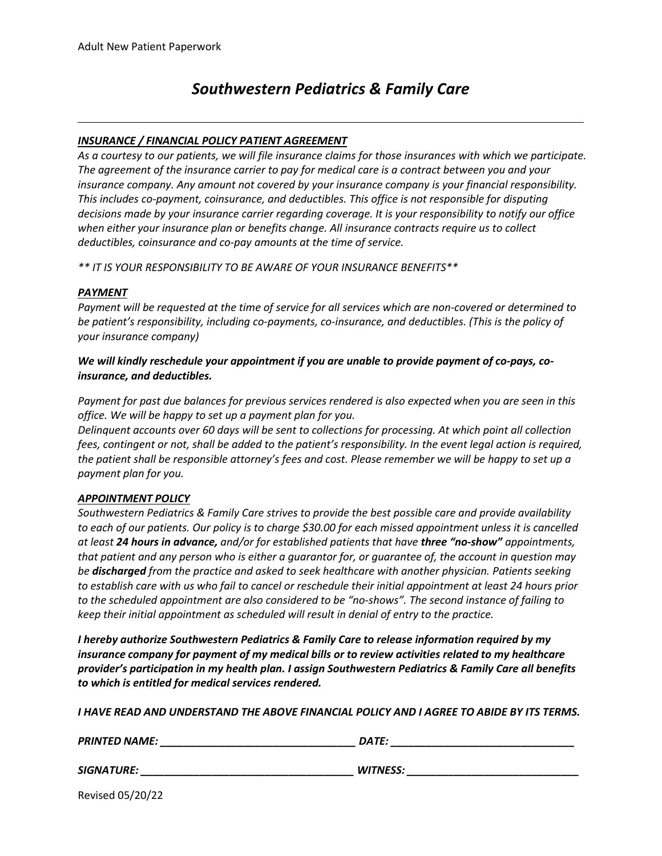#### *INSURANCE / FINANCIAL POLICY PATIENT AGREEMENT*

As a courtesy to our patients, we will file insurance claims for those insurances with which we participate. *The agreement of the insurance carrier to pay for medical care is a contract between you and your insurance company. Any amount not covered by yourinsurance company is your financial responsibility. This includes co-payment, coinsurance, and deductibles. This office is not responsible for disputing decisions made by yourinsurance carrier regarding coverage. It is your responsibility to notify our office when either your insurance plan or benefits change. All insurance contracts require us to collect deductibles, coinsurance and co-pay amounts at the time of service.*

*\*\* IT IS YOUR RESPONSIBILITY TO BE AWARE OF YOUR INSURANCE BENEFITS\*\**

#### *PAYMENT*

Payment will be requested at the time of service for all services which are non-covered or determined to *be patient's responsibility, including co-payments, co-insurance, and deductibles. (This is the policy of your insurance company)*

#### *We will kindly reschedule your appointment if you are unable to provide payment of co-pays, coinsurance, and deductibles.*

Payment for past due balances for previous services rendered is also expected when you are seen in this *office. We will be happy to set up a payment plan for you.*

Delinguent accounts over 60 days will be sent to collections for processing. At which point all collection fees, contingent or not, shall be added to the patient's responsibility. In the event legal action is required, the patient shall be responsible attorney's fees and cost. Please remember we will be happy to set up a *payment plan for you.*

#### *APPOINTMENT POLICY*

*Southwestern Pediatrics & Family Care strives to provide the best possible care and provide availability* to each of our patients. Our policy is to charge \$30.00 for each missed appointment unless it is cancelled *at least 24 hours in advance, and/or for established patients that have three "no-show" appointments,* that patient and any person who is either a guarantor for, or guarantee of, the account in question may *be discharged from the practice and asked to seek healthcare with another physician. Patients seeking* to establish care with us who fail to cancel or reschedule their initial appointment at least 24 hours prior *to the scheduled appointment are also considered to be "no-shows". The second instance of failing to keep their initial appointment as scheduled will result in denial of entry to the practice.*

*I hereby authorize Southwestern Pediatrics & Family Care to release information required by my insurance company for payment of my medical bills or to review activities related to my healthcare provider's participation in my health plan. I assign Southwestern Pediatrics & Family Care all benefits to which is entitled for medical services rendered.*

I HAVE READ AND UNDERSTAND THE ABOVE FINANCIAL POLICY AND I AGREE TO ABIDE BY ITS TERMS.

| <b>PRINTED NAME:</b> | DATE:           |
|----------------------|-----------------|
| <b>SIGNATURE:</b>    | <b>WITNESS:</b> |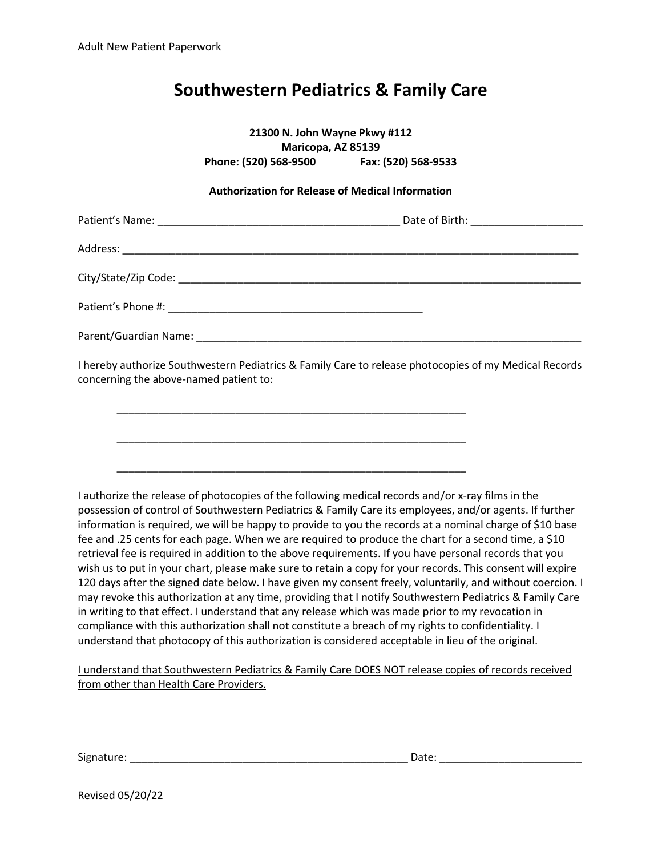**21300 N. John Wayne Pkwy #112 Maricopa, AZ 85139 Phone: (520) 568-9500 Fax: (520) 568-9533 Authorization for Release of Medical Information** Patient's Name: \_\_\_\_\_\_\_\_\_\_\_\_\_\_\_\_\_\_\_\_\_\_\_\_\_\_\_\_\_\_\_\_\_\_\_\_\_\_\_\_\_ Date of Birth: \_\_\_\_\_\_\_\_\_\_\_\_\_\_\_\_\_\_\_ Address: \_\_\_\_\_\_\_\_\_\_\_\_\_\_\_\_\_\_\_\_\_\_\_\_\_\_\_\_\_\_\_\_\_\_\_\_\_\_\_\_\_\_\_\_\_\_\_\_\_\_\_\_\_\_\_\_\_\_\_\_\_\_\_\_\_\_\_\_\_\_\_\_\_\_\_\_\_ City/State/Zip Code: \_\_\_\_\_\_\_\_\_\_\_\_\_\_\_\_\_\_\_\_\_\_\_\_\_\_\_\_\_\_\_\_\_\_\_\_\_\_\_\_\_\_\_\_\_\_\_\_\_\_\_\_\_\_\_\_\_\_\_\_\_\_\_\_\_\_\_\_ Patient's Phone #:  $\blacksquare$ Parent/Guardian Name: \_\_\_\_\_\_\_\_\_\_\_\_\_\_\_\_\_\_\_\_\_\_\_\_\_\_\_\_\_\_\_\_\_\_\_\_\_\_\_\_\_\_\_\_\_\_\_\_\_\_\_\_\_\_\_\_\_\_\_\_\_\_\_\_\_ I hereby authorize Southwestern Pediatrics & Family Care to release photocopies of my Medical Records concerning the above-named patient to: \_\_\_\_\_\_\_\_\_\_\_\_\_\_\_\_\_\_\_\_\_\_\_\_\_\_\_\_\_\_\_\_\_\_\_\_\_\_\_\_\_\_\_\_\_\_\_\_\_\_\_\_\_\_\_\_\_\_\_ \_\_\_\_\_\_\_\_\_\_\_\_\_\_\_\_\_\_\_\_\_\_\_\_\_\_\_\_\_\_\_\_\_\_\_\_\_\_\_\_\_\_\_\_\_\_\_\_\_\_\_\_\_\_\_\_\_\_\_ \_\_\_\_\_\_\_\_\_\_\_\_\_\_\_\_\_\_\_\_\_\_\_\_\_\_\_\_\_\_\_\_\_\_\_\_\_\_\_\_\_\_\_\_\_\_\_\_\_\_\_\_\_\_\_\_\_\_\_

I authorize the release of photocopies of the following medical records and/or x-ray films in the possession of control of Southwestern Pediatrics & Family Care its employees, and/or agents. If further information is required, we will be happy to provide to you the records at a nominal charge of \$10 base fee and .25 cents for each page. When we are required to produce the chart for a second time, a \$10 retrieval fee is required in addition to the above requirements. If you have personal records that you wish us to put in your chart, please make sure to retain a copy for your records. This consent will expire 120 days after the signed date below. I have given my consent freely, voluntarily, and without coercion. I may revoke this authorization at any time, providing that I notify Southwestern Pediatrics & Family Care in writing to that effect. I understand that any release which was made prior to myrevocation in compliance with this authorization shall not constitute a breach of my rights to confidentiality. I understand that photocopy of this authorization is considered acceptable in lieu ofthe original.

I understand that Southwestern Pediatrics & Family Care DOES NOT release copies of records received from other than Health Care Providers.

| <b></b><br>Signature:<br>ALUIC. | valt. |  |
|---------------------------------|-------|--|
|                                 |       |  |